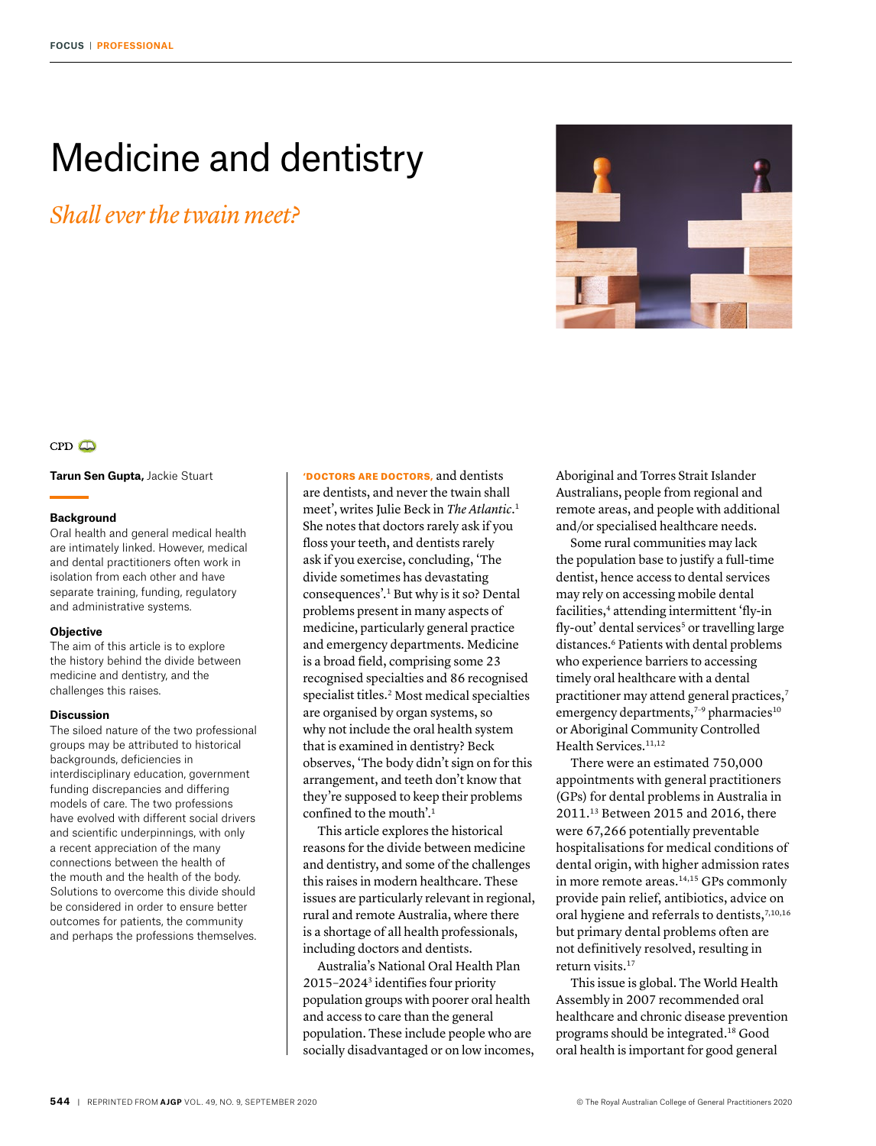# Medicine and dentistry

*Shall ever the twain meet?*





**Tarun Sen Gupta,** Jackie Stuart

#### **Background**

Oral health and general medical health are intimately linked. However, medical and dental practitioners often work in isolation from each other and have separate training, funding, regulatory and administrative systems.

### **Objective**

The aim of this article is to explore the history behind the divide between medicine and dentistry, and the challenges this raises.

# **Discussion**

The siloed nature of the two professional groups may be attributed to historical backgrounds, deficiencies in interdisciplinary education, government funding discrepancies and differing models of care. The two professions have evolved with different social drivers and scientific underpinnings, with only a recent appreciation of the many connections between the health of the mouth and the health of the body. Solutions to overcome this divide should be considered in order to ensure better outcomes for patients, the community and perhaps the professions themselves.

'DOCTORS ARE DOCTORS, and dentists are dentists, and never the twain shall meet', writes Julie Beck in *The Atlantic*. 1 She notes that doctors rarely ask if you floss your teeth, and dentists rarely ask if you exercise, concluding, 'The divide sometimes has devastating consequences'.1 But why is it so? Dental problems present in many aspects of medicine, particularly general practice and emergency departments. Medicine is a broad field, comprising some 23 recognised specialties and 86 recognised specialist titles.<sup>2</sup> Most medical specialties are organised by organ systems, so why not include the oral health system that is examined in dentistry? Beck observes, 'The body didn't sign on for this arrangement, and teeth don't know that they're supposed to keep their problems confined to the mouth'.1

This article explores the historical reasons for the divide between medicine and dentistry, and some of the challenges this raises in modern healthcare. These issues are particularly relevant in regional, rural and remote Australia, where there is a shortage of all health professionals, including doctors and dentists.

Australia's National Oral Health Plan 2015–20243 identifies four priority population groups with poorer oral health and access to care than the general population. These include people who are socially disadvantaged or on low incomes, Aboriginal and Torres Strait Islander Australians, people from regional and remote areas, and people with additional and/or specialised healthcare needs.

Some rural communities may lack the population base to justify a full-time dentist, hence access to dental services may rely on accessing mobile dental facilities,<sup>4</sup> attending intermittent 'fly-in fly-out' dental services<sup>5</sup> or travelling large distances.<sup>6</sup> Patients with dental problems who experience barriers to accessing timely oral healthcare with a dental practitioner may attend general practices,<sup>7</sup> emergency departments, $7-9$  pharmacies<sup>10</sup> or Aboriginal Community Controlled Health Services.<sup>11,12</sup>

There were an estimated 750,000 appointments with general practitioners (GPs) for dental problems in Australia in 2011.13 Between 2015 and 2016, there were 67,266 potentially preventable hospitalisations for medical conditions of dental origin, with higher admission rates in more remote areas.<sup>14,15</sup> GPs commonly provide pain relief, antibiotics, advice on oral hygiene and referrals to dentists,<sup>7,10,16</sup> but primary dental problems often are not definitively resolved, resulting in return visits.17

This issue is global. The World Health Assembly in 2007 recommended oral healthcare and chronic disease prevention programs should be integrated.18 Good oral health is important for good general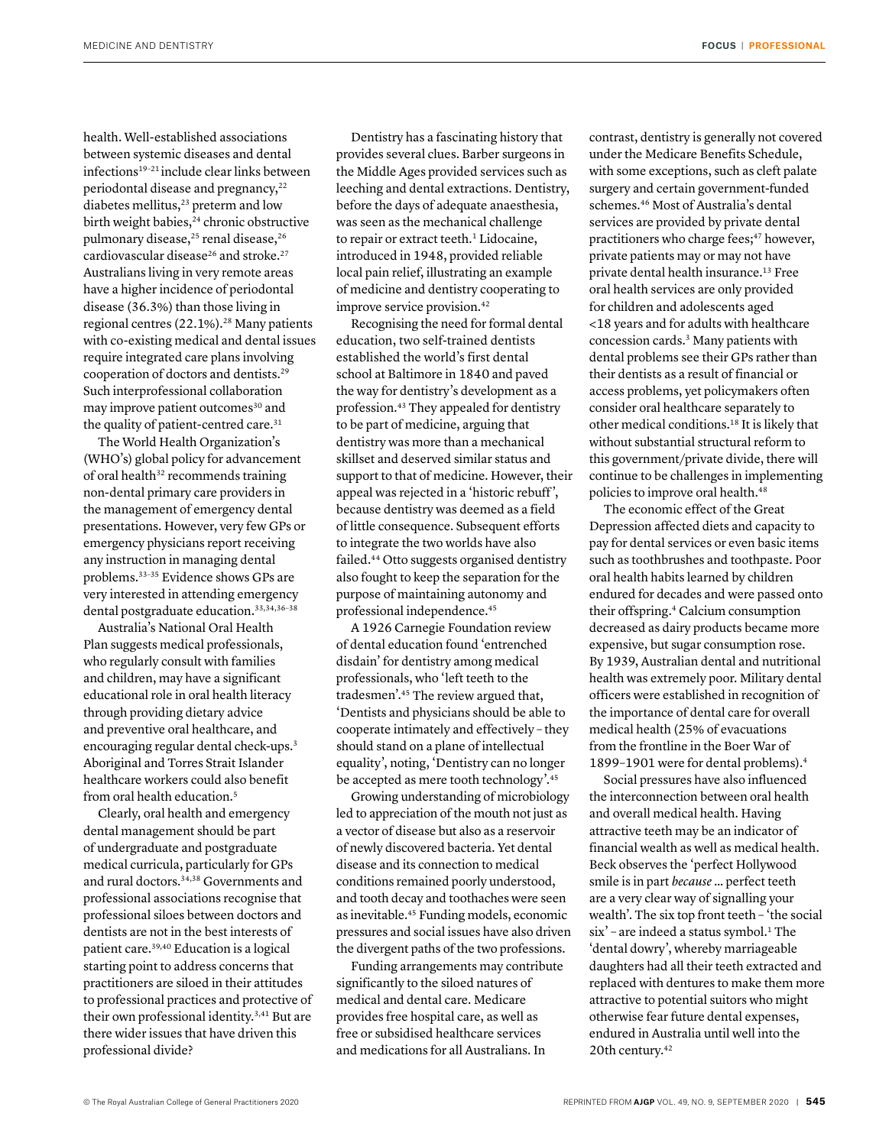health. Well-established associations between systemic diseases and dental infections<sup>19-21</sup> include clear links between periodontal disease and pregnancy,<sup>22</sup> diabetes mellitus,<sup>23</sup> preterm and low birth weight babies,<sup>24</sup> chronic obstructive pulmonary disease,<sup>25</sup> renal disease,<sup>26</sup> cardiovascular disease<sup>26</sup> and stroke.<sup>27</sup> Australians living in very remote areas have a higher incidence of periodontal disease (36.3%) than those living in regional centres (22.1%).<sup>28</sup> Many patients with co-existing medical and dental issues require integrated care plans involving cooperation of doctors and dentists.29 Such interprofessional collaboration may improve patient outcomes<sup>30</sup> and the quality of patient-centred care.<sup>31</sup>

The World Health Organization's (WHO's) global policy for advancement of oral health $32$  recommends training non-dental primary care providers in the management of emergency dental presentations. However, very few GPs or emergency physicians report receiving any instruction in managing dental problems.33–35 Evidence shows GPs are very interested in attending emergency dental postgraduate education.33,34,36–38

Australia's National Oral Health Plan suggests medical professionals, who regularly consult with families and children, may have a significant educational role in oral health literacy through providing dietary advice and preventive oral healthcare, and encouraging regular dental check-ups.3 Aboriginal and Torres Strait Islander healthcare workers could also benefit from oral health education.5

Clearly, oral health and emergency dental management should be part of undergraduate and postgraduate medical curricula, particularly for GPs and rural doctors.34,38 Governments and professional associations recognise that professional siloes between doctors and dentists are not in the best interests of patient care.39,40 Education is a logical starting point to address concerns that practitioners are siloed in their attitudes to professional practices and protective of their own professional identity.3,41 But are there wider issues that have driven this professional divide?

Dentistry has a fascinating history that provides several clues. Barber surgeons in the Middle Ages provided services such as leeching and dental extractions. Dentistry, before the days of adequate anaesthesia, was seen as the mechanical challenge to repair or extract teeth.<sup>1</sup> Lidocaine, introduced in 1948, provided reliable local pain relief, illustrating an example of medicine and dentistry cooperating to improve service provision.42

Recognising the need for formal dental education, two self-trained dentists established the world's first dental school at Baltimore in 1840 and paved the way for dentistry's development as a profession.43 They appealed for dentistry to be part of medicine, arguing that dentistry was more than a mechanical skillset and deserved similar status and support to that of medicine. However, their appeal was rejected in a 'historic rebuff ', because dentistry was deemed as a field of little consequence. Subsequent efforts to integrate the two worlds have also failed.44 Otto suggests organised dentistry also fought to keep the separation for the purpose of maintaining autonomy and professional independence.45

A 1926 Carnegie Foundation review of dental education found 'entrenched disdain' for dentistry among medical professionals, who 'left teeth to the tradesmen'.45 The review argued that, 'Dentists and physicians should be able to cooperate intimately and effectively – they should stand on a plane of intellectual equality', noting, 'Dentistry can no longer be accepted as mere tooth technology'.45

Growing understanding of microbiology led to appreciation of the mouth not just as a vector of disease but also as a reservoir of newly discovered bacteria. Yet dental disease and its connection to medical conditions remained poorly understood, and tooth decay and toothaches were seen as inevitable.45 Funding models, economic pressures and social issues have also driven the divergent paths of the two professions.

Funding arrangements may contribute significantly to the siloed natures of medical and dental care. Medicare provides free hospital care, as well as free or subsidised healthcare services and medications for all Australians. In

contrast, dentistry is generally not covered under the Medicare Benefits Schedule, with some exceptions, such as cleft palate surgery and certain government-funded schemes.46 Most of Australia's dental services are provided by private dental practitioners who charge fees;<sup>47</sup> however, private patients may or may not have private dental health insurance.13 Free oral health services are only provided for children and adolescents aged <18 years and for adults with healthcare concession cards.3 Many patients with dental problems see their GPs rather than their dentists as a result of financial or access problems, yet policymakers often consider oral healthcare separately to other medical conditions.18 It is likely that without substantial structural reform to this government/private divide, there will continue to be challenges in implementing policies to improve oral health.48

The economic effect of the Great Depression affected diets and capacity to pay for dental services or even basic items such as toothbrushes and toothpaste. Poor oral health habits learned by children endured for decades and were passed onto their offspring.4 Calcium consumption decreased as dairy products became more expensive, but sugar consumption rose. By 1939, Australian dental and nutritional health was extremely poor. Military dental officers were established in recognition of the importance of dental care for overall medical health (25% of evacuations from the frontline in the Boer War of 1899–1901 were for dental problems).4

Social pressures have also influenced the interconnection between oral health and overall medical health. Having attractive teeth may be an indicator of financial wealth as well as medical health. Beck observes the 'perfect Hollywood smile is in part *because* … perfect teeth are a very clear way of signalling your wealth'. The six top front teeth – 'the social six' - are indeed a status symbol.<sup>1</sup> The 'dental dowry', whereby marriageable daughters had all their teeth extracted and replaced with dentures to make them more attractive to potential suitors who might otherwise fear future dental expenses, endured in Australia until well into the 20th century.42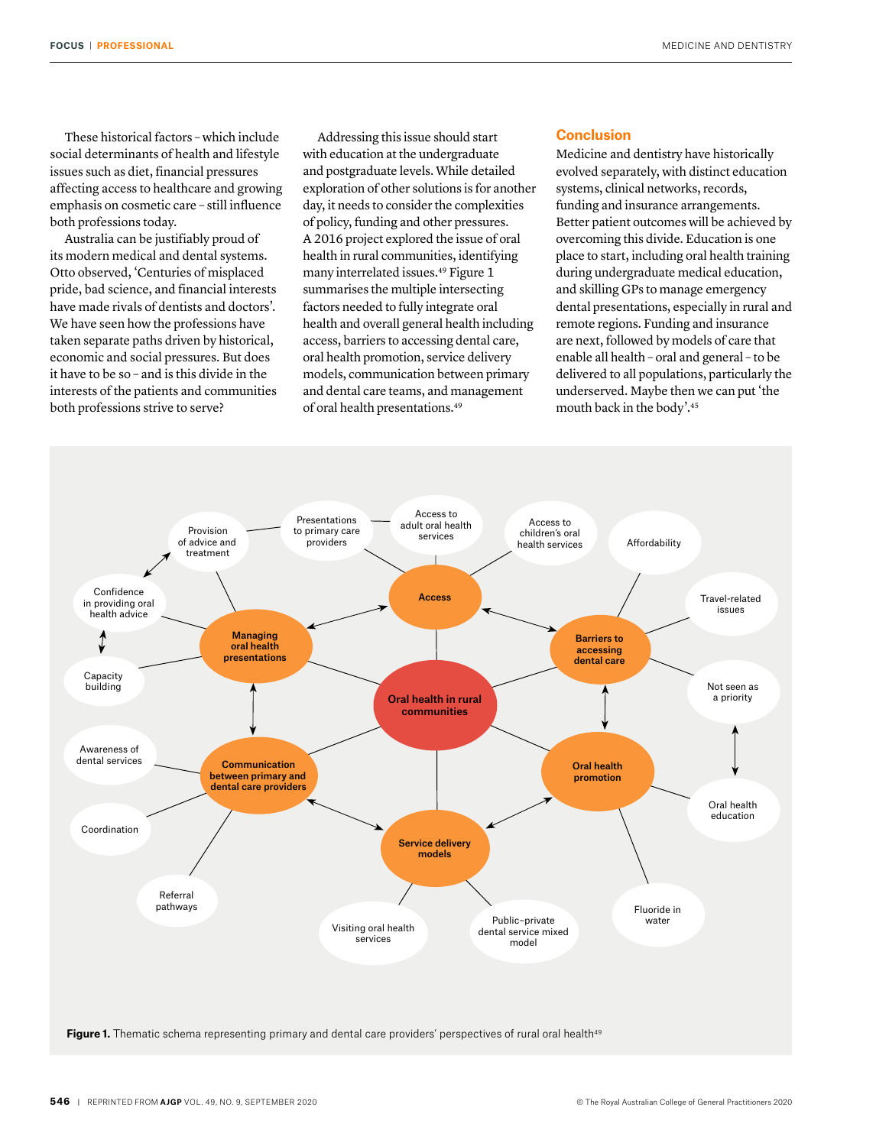These historical factors – which include social determinants of health and lifestyle issues such as diet, financial pressures affecting access to healthcare and growing emphasis on cosmetic care – still influence both professions today.

Australia can be justifiably proud of its modern medical and dental systems. Otto observed, 'Centuries of misplaced pride, bad science, and financial interests have made rivals of dentists and doctors'. We have seen how the professions have taken separate paths driven by historical, economic and social pressures. But does it have to be so – and is this divide in the interests of the patients and communities both professions strive to serve?

Addressing this issue should start with education at the undergraduate and postgraduate levels. While detailed exploration of other solutions is for another day, it needs to consider the complexities of policy, funding and other pressures. A 2016 project explored the issue of oral health in rural communities, identifying many interrelated issues.<sup>49</sup> Figure 1 summarises the multiple intersecting factors needed to fully integrate oral health and overall general health including access, barriers to accessing dental care, oral health promotion, service delivery models, communication between primary and dental care teams, and management of oral health presentations.49

# **Conclusion**

Medicine and dentistry have historically evolved separately, with distinct education systems, clinical networks, records, funding and insurance arrangements. Better patient outcomes will be achieved by overcoming this divide. Education is one place to start, including oral health training during undergraduate medical education, and skilling GPs to manage emergency dental presentations, especially in rural and remote regions. Funding and insurance are next, followed by models of care that enable all health – oral and general – to be delivered to all populations, particularly the underserved. Maybe then we can put 'the mouth back in the body'.45

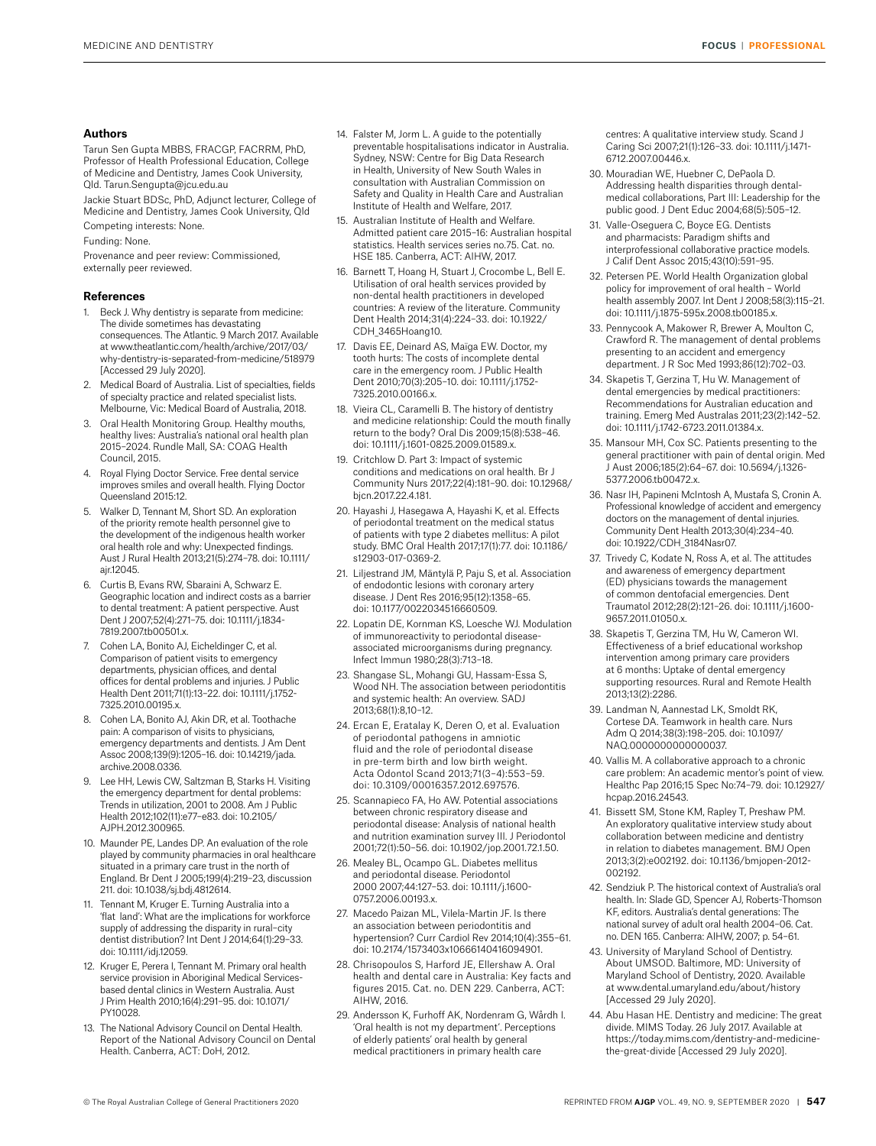# **Authors**

Tarun Sen Gupta MBBS, FRACGP, FACRRM, PhD, Professor of Health Professional Education, College of Medicine and Dentistry, James Cook University, Qld. Tarun.Sengupta@jcu.edu.au

Jackie Stuart BDSc, PhD, Adjunct lecturer, College of Medicine and Dentistry, James Cook University, Qld

Competing interests: None.

Funding: None.

Provenance and peer review: Commissioned, externally peer reviewed.

#### **References**

- 1. Beck J. Why dentistry is separate from medicine: The divide sometimes has devastating consequences. The Atlantic. 9 March 2017. Available at www.theatlantic.com/health/archive/2017/03/ why-dentistry-is-separated-from-medicine/518979 [Accessed 29 July 2020].
- 2. Medical Board of Australia. List of specialties, fields of specialty practice and related specialist lists. Melbourne, Vic: Medical Board of Australia, 2018.
- 3. Oral Health Monitoring Group. Healthy mouths, healthy lives: Australia's national oral health plan 2015–2024. Rundle Mall, SA: COAG Health Council, 2015.
- 4. Royal Flying Doctor Service. Free dental service improves smiles and overall health. Flying Doctor Queensland 2015:12.
- 5. Walker D, Tennant M, Short SD. An exploration of the priority remote health personnel give to the development of the indigenous health worker oral health role and why: Unexpected findings. Aust J Rural Health 2013;21(5):274–78. doi: 10.1111/ ajr.12045.
- 6. Curtis B, Evans RW, Sbaraini A, Schwarz E. Geographic location and indirect costs as a barrier to dental treatment: A patient perspective. Aust Dent J 2007;52(4):271–75. doi: 10.1111/j.1834- 7819.2007.tb00501.x.
- 7. Cohen LA, Bonito AJ, Eicheldinger C, et al. Comparison of patient visits to emergency departments, physician offices, and dental offices for dental problems and injuries. J Public Health Dent 2011;71(1):13–22. doi: 10.1111/j.1752- 7325.2010.00195.x.
- 8. Cohen LA, Bonito AJ, Akin DR, et al. Toothache pain: A comparison of visits to physicians, emergency departments and dentists. J Am Dent Assoc 2008;139(9):1205–16. doi: 10.14219/jada. archive.2008.0336.
- 9. Lee HH, Lewis CW, Saltzman B, Starks H. Visiting the emergency department for dental problems: Trends in utilization, 2001 to 2008. Am J Public Health 2012;102(11):e77–e83. doi: 10.2105/ AJPH.2012.300965.
- 10. Maunder PE, Landes DP. An evaluation of the role played by community pharmacies in oral healthcare situated in a primary care trust in the north of England. Br Dent J 2005;199(4):219–23, discussion 211. doi: 10.1038/sj.bdj.4812614.
- 11. Tennant M, Kruger E. Turning Australia into a 'flat land': What are the implications for workforce supply of addressing the disparity in rural–city dentist distribution? Int Dent J 2014;64(1):29–33. doi: 10.1111/idj.12059.
- 12. Kruger E, Perera I, Tennant M. Primary oral health service provision in Aboriginal Medical Servicesbased dental clinics in Western Australia. Aust J Prim Health 2010;16(4):291–95. doi: 10.1071/ PY10028.
- 13. The National Advisory Council on Dental Health. Report of the National Advisory Council on Dental Health. Canberra, ACT: DoH, 2012.
- 14. Falster M, Jorm L. A guide to the potentially preventable hospitalisations indicator in Australia. Sydney, NSW: Centre for Big Data Research in Health, University of New South Wales in consultation with Australian Commission on Safety and Quality in Health Care and Australian Institute of Health and Welfare, 2017.
- 15. Australian Institute of Health and Welfare. Admitted patient care 2015–16: Australian hospital statistics. Health services series no.75. Cat. no. HSE 185. Canberra, ACT: AIHW, 2017.
- 16. Barnett T, Hoang H, Stuart J, Crocombe L, Bell E. Utilisation of oral health services provided by non-dental health practitioners in developed countries: A review of the literature. Community Dent Health 2014;31(4):224–33. doi: 10.1922/ CDH\_3465Hoang10.
- 17. Davis EE, Deinard AS, Maïga EW. Doctor, my tooth hurts: The costs of incomplete dental care in the emergency room. J Public Health Dent 2010;70(3):205–10. doi: 10.1111/j.1752- 7325.2010.00166.x.
- 18. Vieira CL, Caramelli B. The history of dentistry and medicine relationship: Could the mouth finally return to the body? Oral Dis 2009;15(8):538–46. doi: 10.1111/j.1601-0825.2009.01589.x.
- 19. Critchlow D. Part 3: Impact of systemic conditions and medications on oral health. Br J Community Nurs 2017;22(4):181–90. doi: 10.12968/ bjcn.2017.22.4.181.
- 20. Hayashi J, Hasegawa A, Hayashi K, et al. Effects of periodontal treatment on the medical status of patients with type 2 diabetes mellitus: A pilot study. BMC Oral Health 2017;17(1):77. doi: 10.1186/ s12903-017-0369-2.
- 21. Liljestrand JM, Mäntylä P, Paju S, et al. Association of endodontic lesions with coronary artery disease. J Dent Res 2016;95(12):1358–65. doi: 10.1177/0022034516660509.
- 22. Lopatin DE, Kornman KS, Loesche WJ. Modulation of immunoreactivity to periodontal diseaseassociated microorganisms during pregnancy. Infect Immun 1980;28(3):713–18.
- 23. Shangase SL, Mohangi GU, Hassam-Essa S, Wood NH. The association between periodontitis and systemic health: An overview. SADJ 2013;68(1):8,10–12.
- 24. Ercan E, Eratalay K, Deren O, et al. Evaluation of periodontal pathogens in amniotic fluid and the role of periodontal disease in pre-term birth and low birth weight. Acta Odontol Scand 2013;71(3–4):553–59. doi: 10.3109/00016357.2012.697576.
- 25. Scannapieco FA, Ho AW. Potential associations between chronic respiratory disease and periodontal disease: Analysis of national health and nutrition examination survey III. J Periodontol 2001;72(1):50–56. doi: 10.1902/jop.2001.72.1.50.
- 26. Mealey BL, Ocampo GL. Diabetes mellitus and periodontal disease. Periodontol 2000 2007;44:127–53. doi: 10.1111/j.1600- 0757.2006.00193.x.
- 27. Macedo Paizan ML, Vilela-Martin JF. Is there an association between periodontitis and hypertension? Curr Cardiol Rev 2014;10(4):355–61. doi: 10.2174/1573403x10666140416094901.
- 28. Chrisopoulos S, Harford JE, Ellershaw A. Oral health and dental care in Australia: Key facts and figures 2015. Cat. no. DEN 229. Canberra, ACT: AIHW, 2016.
- 29. Andersson K, Furhoff AK, Nordenram G, Wårdh I. 'Oral health is not my department'. Perceptions of elderly patients' oral health by general medical practitioners in primary health care

centres: A qualitative interview study. Scand J Caring Sci 2007;21(1):126–33. doi: 10.1111/j.1471- 6712.2007.00446.x.

- 30. Mouradian WE, Huebner C, DePaola D. Addressing health disparities through dentalmedical collaborations, Part III: Leadership for the public good. J Dent Educ 2004;68(5):505–12.
- 31. Valle-Oseguera C, Boyce EG. Dentists and pharmacists: Paradigm shifts and interprofessional collaborative practice models. J Calif Dent Assoc 2015;43(10):591–95.
- 32. Petersen PE. World Health Organization global policy for improvement of oral health – World health assembly 2007. Int Dent J 2008;58(3):115–21. doi: 10.1111/j.1875-595x.2008.tb00185.x.
- 33. Pennycook A, Makower R, Brewer A, Moulton C, Crawford R. The management of dental problems presenting to an accident and emergency department. J R Soc Med 1993;86(12):702–03.
- 34. Skapetis T, Gerzina T, Hu W. Management of dental emergencies by medical practitioners: Recommendations for Australian education and training. Emerg Med Australas 2011;23(2):142–52. doi: 10.1111/j.1742-6723.2011.01384.x.
- 35. Mansour MH, Cox SC. Patients presenting to the general practitioner with pain of dental origin. Med J Aust 2006;185(2):64–67. doi: 10.5694/j.1326- 5377.2006.tb00472.x.
- 36. Nasr IH, Papineni McIntosh A, Mustafa S, Cronin A. Professional knowledge of accident and emergency doctors on the management of dental injuries. Community Dent Health 2013;30(4):234–40. doi: 10.1922/CDH\_3184Nasr07.
- 37. Trivedy C, Kodate N, Ross A, et al. The attitudes and awareness of emergency department (ED) physicians towards the management of common dentofacial emergencies. Dent Traumatol 2012;28(2):121–26. doi: 10.1111/j.1600- 9657.2011.01050.x.
- 38. Skapetis T, Gerzina TM, Hu W, Cameron WI. Effectiveness of a brief educational workshop intervention among primary care providers at 6 months: Uptake of dental emergency supporting resources. Rural and Remote Health 2013;13(2):2286.
- 39. Landman N, Aannestad LK, Smoldt RK, Cortese DA. Teamwork in health care. Nurs Adm Q 2014;38(3):198–205. doi: 10.1097/ NAQ.0000000000000037.
- 40. Vallis M. A collaborative approach to a chronic care problem: An academic mentor's point of view. Healthc Pap 2016;15 Spec No:74–79. doi: 10.12927/ hcpap.2016.24543.
- 41. Bissett SM, Stone KM, Rapley T, Preshaw PM. An exploratory qualitative interview study about collaboration between medicine and dentistry in relation to diabetes management. BMJ Open 2013;3(2):e002192. doi: 10.1136/bmjopen-2012- 002192.
- 42. Sendziuk P. The historical context of Australia's oral health. In: Slade GD, Spencer AJ, Roberts-Thomson KF, editors. Australia's dental generations: The national survey of adult oral health 2004–06. Cat. no. DEN 165. Canberra: AIHW, 2007; p. 54–61.
- 43. University of Maryland School of Dentistry. About UMSOD. Baltimore, MD: University of Maryland School of Dentistry, 2020. Available at www.dental.umaryland.edu/about/history [Accessed 29 July 2020].
- 44. Abu Hasan HE. Dentistry and medicine: The great divide. MIMS Today. 26 July 2017. Available at https://today.mims.com/dentistry-and-medicinethe-great-divide [Accessed 29 July 2020].